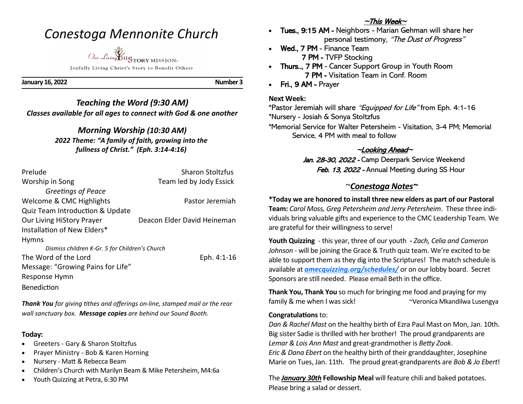## *Conestoga Mennonite Church*

*Our Living* HISTORY MISSION Joyfully Living Christ's Story to Benefit Others

**January 16, 2022 Number 3**

## *Teaching the Word (9:30 AM) Classes available for all ages to connect with God & one another*

## *Morning Worship (10:30 AM)*

*2022 Theme: "A family of faith, growing into the fullness of Christ." (Eph. 3:14-4:16)*

| Prelude                                        | <b>Sharon Stoltzfus</b>     |
|------------------------------------------------|-----------------------------|
| Worship in Song                                | Team led by Jody Essick     |
| Greetings of Peace                             |                             |
| Welcome & CMC Highlights                       | Pastor Jeremiah             |
| Quiz Team Introduction & Update                |                             |
| <b>Our Living HiStory Prayer</b>               | Deacon Elder David Heineman |
| Installation of New Elders*                    |                             |
| <b>Hymns</b>                                   |                             |
| Dismiss children K-Gr. 5 for Children's Church |                             |
| The Word of the Lord                           | Eph. 4:1-16                 |
| Message: "Growing Pains for Life"              |                             |
| Response Hymn                                  |                             |
| <b>Benediction</b>                             |                             |

*Thank You for giving tithes and offerings on-line, stamped mail or the rear wall sanctuary box. Message copies are behind our Sound Booth.*

#### **Today:**

- Greeters Gary & Sharon Stoltzfus
- Prayer Ministry Bob & Karen Horning
- Nursery Matt & Rebecca Beam
- Children's Church with Marilyn Beam & Mike Petersheim, M4:6a
- Youth Quizzing at Petra, 6:30 PM

### $\sim$ This Week $\sim$

- Tues., 9:15 AM Neighbors Marian Gehman will share her personal testimony, "The Dust of Progress"
- Wed., 7 PM Finance Team 7 PM - TVFP Stocking
- Thurs.., 7 PM Cancer Support Group in Youth Room 7 PM - Visitation Team in Conf. Room
- Fri., 9 AM Prayer

#### **Next Week:**

\*Pastor Jeremiah will share "Equipped for Life" from Eph. 4:1-16 \*Nursery - Josiah & Sonya Stoltzfus

\*Memorial Service for Walter Petersheim - Visitation, 3-4 PM; Memorial Service, 4 PM with meal to follow

## $\sim$ Looking Ahead $\sim$

Jan. 28-30, 2022 - Camp Deerpark Service Weekend Feb. 13, 2022 - Annual Meeting during SS Hour

## ~*Conestoga Notes~*

## **\*Today we are honored to install three new elders as part of our Pastoral**

**Team:** *Carol Moss, Greg Petersheim and Jerry Petersheim*. These three individuals bring valuable gifts and experience to the CMC Leadership Team. We are grateful for their willingness to serve!

**Youth Quizzing** - this year, three of our youth **-** *Zach, Celia and Cameron*  Johnson - will be joining the Grace & Truth quiz team. We're excited to be able to support them as they dig into the Scriptures! The match schedule is available at *[amecquizzing.org/schedules/](https://amecquizzing.org/schedules/)* or on our lobby board. Secret Sponsors are still needed. Please email Beth in the office.

**Thank You, Thank You** so much for bringing me food and praying for my family & me when I was sick! ~Veronica Mkandilwa Lusengya

#### **Congratulations** to:

*Dan & Rachel Mast* on the healthy birth of Ezra Paul Mast on Mon, Jan. 10th. Big sister Sadie is thrilled with her brother! The proud grandparents are *Lemar & Lois Ann Mast* and great-grandmother is *Betty Zook*. *Eric & Dana Ebert* on the healthy birth of their granddaughter, Josephine Marie on Tues, Jan. 11th. The proud great-grandparents are *Bob & Jo Ebert*!

The *January 30th* **Fellowship Meal** will feature chili and baked potatoes. Please bring a salad or dessert.